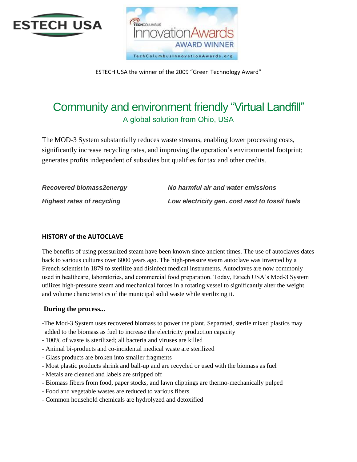



ESTECH USA the winner of the 2009 "Green Technology Award"

# Community and environment friendly "Virtual Landfill" A global solution from Ohio, USA

The MOD-3 System substantially reduces waste streams, enabling lower processing costs, significantly increase recycling rates, and improving the operation's environmental footprint; generates profits independent of subsidies but qualifies for tax and other credits.

| <b>Recovered biomass2energy</b>   | No harmful air and water emissions             |
|-----------------------------------|------------------------------------------------|
| <b>Highest rates of recycling</b> | Low electricity gen. cost next to fossil fuels |

# **HISTORY of the AUTOCLAVE**

The benefits of using pressurized steam have been known since ancient times. The use of autoclaves dates back to various cultures over 6000 years ago. The high-pressure steam autoclave was invented by a French scientist in 1879 to sterilize and disinfect medical instruments. Autoclaves are now commonly used in healthcare, laboratories, and commercial food preparation. Today, Estech USA's Mod-3 System utilizes high-pressure steam and mechanical forces in a rotating vessel to significantly alter the weight and volume characteristics of the municipal solid waste while sterilizing it.

# **During the process...**

- -The Mod-3 System uses recovered biomass to power the plant. Separated, sterile mixed plastics may added to the biomass as fuel to increase the electricity production capacity
- 100% of waste is sterilized; all bacteria and viruses are killed
- Animal bi-products and co-incidental medical waste are sterilized
- Glass products are broken into smaller fragments
- Most plastic products shrink and ball-up and are recycled or used with the biomass as fuel
- Metals are cleaned and labels are stripped off
- Biomass fibers from food, paper stocks, and lawn clippings are thermo-mechanically pulped
- Food and vegetable wastes are reduced to various fibers.
- Common household chemicals are hydrolyzed and detoxified